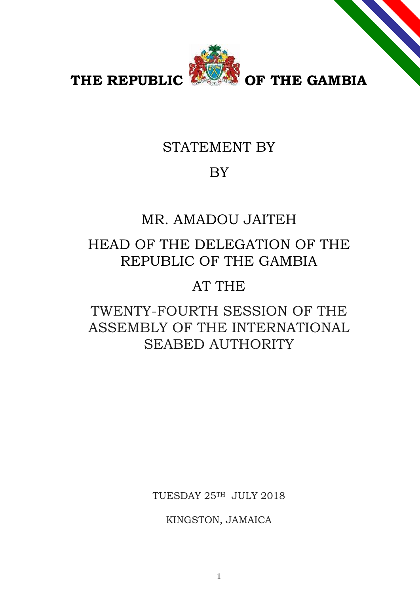

THE REPUBLIC **PARTS** OF THE GAMBIA

# STATEMENT BY

# BY

# MR. AMADOU JAITEH

# HEAD OF THE DELEGATION OF THE REPUBLIC OF THE GAMBIA

### AT THE

# TWENTY-FOURTH SESSION OF THE ASSEMBLY OF THE INTERNATIONAL SEABED AUTHORITY

TUESDAY 25TH JULY 2018

KINGSTON, JAMAICA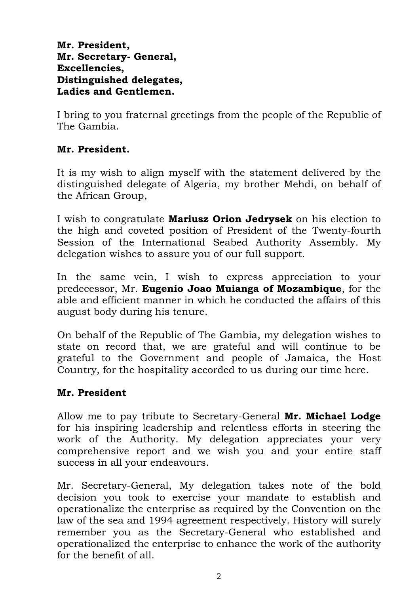### **Mr. President, Mr. Secretary- General, Excellencies, Distinguished delegates, Ladies and Gentlemen.**

I bring to you fraternal greetings from the people of the Republic of The Gambia.

### **Mr. President.**

It is my wish to align myself with the statement delivered by the distinguished delegate of Algeria, my brother Mehdi, on behalf of the African Group,

I wish to congratulate **Mariusz Orion Jedrysek** on his election to the high and coveted position of President of the Twenty-fourth Session of the International Seabed Authority Assembly. My delegation wishes to assure you of our full support.

In the same vein, I wish to express appreciation to your predecessor, Mr. **Eugenio Joao Muianga of Mozambique**, for the able and efficient manner in which he conducted the affairs of this august body during his tenure.

On behalf of the Republic of The Gambia, my delegation wishes to state on record that, we are grateful and will continue to be grateful to the Government and people of Jamaica, the Host Country, for the hospitality accorded to us during our time here.

### **Mr. President**

Allow me to pay tribute to Secretary-General **Mr. Michael Lodge** for his inspiring leadership and relentless efforts in steering the work of the Authority. My delegation appreciates your very comprehensive report and we wish you and your entire staff success in all your endeavours.

Mr. Secretary-General, My delegation takes note of the bold decision you took to exercise your mandate to establish and operationalize the enterprise as required by the Convention on the law of the sea and 1994 agreement respectively. History will surely remember you as the Secretary-General who established and operationalized the enterprise to enhance the work of the authority for the benefit of all.